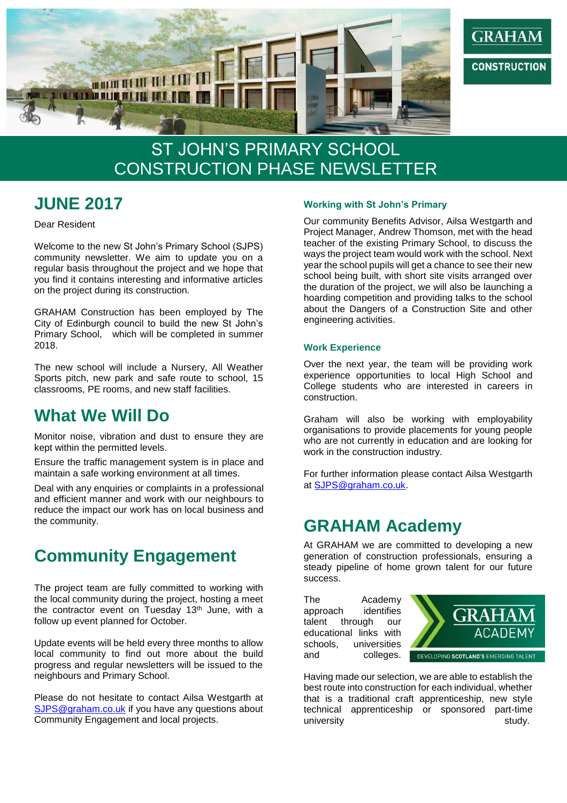

# ST JOHN'S PRIMARY SCHOOL CONSTRUCTION PHASE NEWSLETTER

## **JUNE 2017**

Dear Resident

Welcome to the new St John's Primary School (SJPS) community newsletter. We aim to update you on a regular basis throughout the project and we hope that you find it contains interesting and informative articles on the project during its construction.

GRAHAM Construction has been employed by The City of Edinburgh council to build the new St John's Primary School, which will be completed in summer 2018.

The new school will include a Nursery, All Weather Sports pitch, new park and safe route to school, 15 classrooms, PE rooms, and new staff facilities.

### **What We Will Do**

Monitor noise, vibration and dust to ensure they are kept within the permitted levels.

Ensure the traffic management system is in place and maintain a safe working environment at all times.

Deal with any enquiries or complaints in a professional and efficient manner and work with our neighbours to reduce the impact our work has on local business and the community.

## **Community Engagement**

The project team are fully committed to working with the local community during the project, hosting a meet the contractor event on Tuesday  $13<sup>th</sup>$  June, with a follow up event planned for October.

Update events will be held every three months to allow local community to find out more about the build progress and regular newsletters will be issued to the neighbours and Primary School.

Please do not hesitate to contact Ailsa Westgarth at [SJPS@graham.co.uk](mailto:SJPS@graham.co.uk) if you have any questions about Community Engagement and local projects.

#### **Working with St John's Primary**

Our community Benefits Advisor, Ailsa Westgarth and Project Manager, Andrew Thomson, met with the head teacher of the existing Primary School, to discuss the ways the project team would work with the school. Next year the school pupils will get a chance to see their new school being built, with short site visits arranged over the duration of the project, we will also be launching a hoarding competition and providing talks to the school about the Dangers of a Construction Site and other engineering activities.

#### **Work Experience**

Over the next year, the team will be providing work experience opportunities to local High School and College students who are interested in careers in construction.

Graham will also be working with employability organisations to provide placements for young people who are not currently in education and are looking for work in the construction industry.

For further information please contact Ailsa Westgarth at [SJPS@graham.co.uk.](mailto:SJPS@graham.co.uk)

### **GRAHAM Academy**

At GRAHAM we are committed to developing a new generation of construction professionals, ensuring a steady pipeline of home grown talent for our future success.

The Academy approach identifies talent through our educational links with schools, universities and colleges.



Having made our selection, we are able to establish the best route into construction for each individual, whether that is a traditional craft apprenticeship, new style technical apprenticeship or sponsored part-time university study.